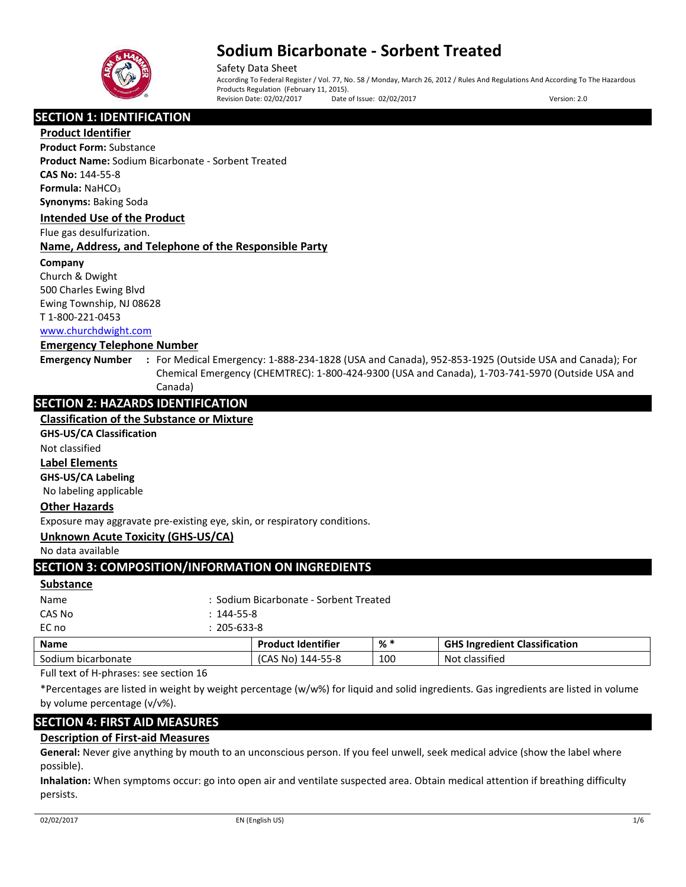

Safety Data Sheet According To Federal Register / Vol. 77, No. 58 / Monday, March 26, 2012 / Rules And Regulations And According To The Hazardous Products Regulation (February 11, 2015). Revision Date: 02/02/2017 Date of Issue: 02/02/2017 Version: 2.0

# **SECTION 1: IDENTIFICATION**

**Product Identifier**

**Product Form:** Substance **Product Name:** Sodium Bicarbonate - Sorbent Treated **CAS No:** 144-55-8 **Formula: NaHCO<sub>3</sub> Synonyms:** Baking Soda

### **Intended Use of the Product**

Flue gas desulfurization.

## **Name, Address, and Telephone of the Responsible Party**

### **Company**

Church & Dwight 500 Charles Ewing Blvd Ewing Township, NJ 08628 T 1-800-221-0453 [www.churchdwight.com](http://www.churchdwight.com/)

### **Emergency Telephone Number**

**Emergency Number :** For Medical Emergency: 1-888-234-1828 (USA and Canada), 952-853-1925 (Outside USA and Canada); For Chemical Emergency (CHEMTREC): 1-800-424-9300 (USA and Canada), 1-703-741-5970 (Outside USA and Canada)

# **SECTION 2: HAZARDS IDENTIFICATION**

## **Classification of the Substance or Mixture**

**GHS-US/CA Classification**

Not classified

# **Label Elements**

**GHS-US/CA Labeling**

No labeling applicable

## **Other Hazards**

Exposure may aggravate pre-existing eye, skin, or respiratory conditions.

## **Unknown Acute Toxicity (GHS-US/CA)**

No data available

# **SECTION 3: COMPOSITION/INFORMATION ON INGREDIENTS**

#### **Substance**

| Name   |                  | <b>Product Identifier</b>              | % * | <b>GHS Ingredient</b> |  |
|--------|------------------|----------------------------------------|-----|-----------------------|--|
| EC no  |                  | $: 205 - 633 - 8$                      |     |                       |  |
| CAS No | $: 144 - 55 - 8$ |                                        |     |                       |  |
| Name   |                  | : Sodium Bicarbonate - Sorbent Treated |     |                       |  |
|        |                  |                                        |     |                       |  |

| <b>Name</b>             | <b>Product Identifier</b>   | % * | S Ingredient Classification<br>CUC<br>cnd |
|-------------------------|-----------------------------|-----|-------------------------------------------|
| Sodium<br>bicarbonate ا | 144-55-8<br>∴NO) د <b>.</b> | 100 | $\cdot$ $\cdot$<br>Not<br>classified      |
| . .<br>$\sim$           |                             |     |                                           |

Full text of H-phrases: see section 16

\*Percentages are listed in weight by weight percentage (w/w%) for liquid and solid ingredients. Gas ingredients are listed in volume by volume percentage (v/v%).

# **SECTION 4: FIRST AID MEASURES**

# **Description of First-aid Measures**

**General:** Never give anything by mouth to an unconscious person. If you feel unwell, seek medical advice (show the label where possible).

**Inhalation:** When symptoms occur: go into open air and ventilate suspected area. Obtain medical attention if breathing difficulty persists.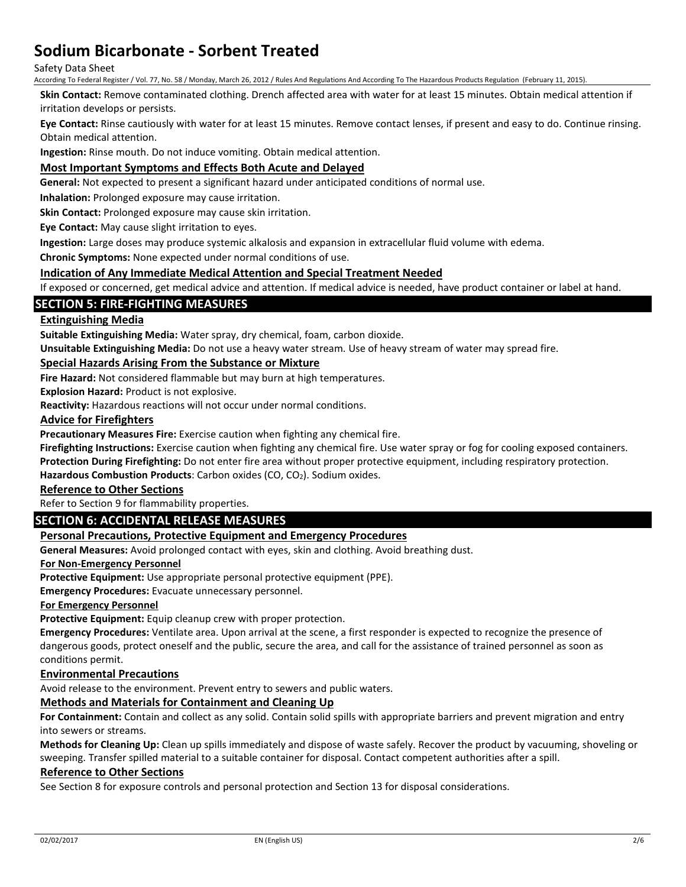### Safety Data Sheet

According To Federal Register / Vol. 77, No. 58 / Monday, March 26, 2012 / Rules And Regulations And According To The Hazardous Products Regulation (February 11, 2015).

**Skin Contact:** Remove contaminated clothing. Drench affected area with water for at least 15 minutes. Obtain medical attention if irritation develops or persists.

**Eye Contact:** Rinse cautiously with water for at least 15 minutes. Remove contact lenses, if present and easy to do. Continue rinsing. Obtain medical attention.

**Ingestion:** Rinse mouth. Do not induce vomiting. Obtain medical attention.

## **Most Important Symptoms and Effects Both Acute and Delayed**

**General:** Not expected to present a significant hazard under anticipated conditions of normal use.

**Inhalation:** Prolonged exposure may cause irritation.

**Skin Contact:** Prolonged exposure may cause skin irritation.

**Eye Contact:** May cause slight irritation to eyes.

**Ingestion:** Large doses may produce systemic alkalosis and expansion in extracellular fluid volume with edema.

**Chronic Symptoms:** None expected under normal conditions of use.

### **Indication of Any Immediate Medical Attention and Special Treatment Needed**

If exposed or concerned, get medical advice and attention. If medical advice is needed, have product container or label at hand.

## **SECTION 5: FIRE-FIGHTING MEASURES**

## **Extinguishing Media**

**Suitable Extinguishing Media:** Water spray, dry chemical, foam, carbon dioxide.

**Unsuitable Extinguishing Media:** Do not use a heavy water stream. Use of heavy stream of water may spread fire.

### **Special Hazards Arising From the Substance or Mixture**

**Fire Hazard:** Not considered flammable but may burn at high temperatures.

**Explosion Hazard:** Product is not explosive.

**Reactivity:** Hazardous reactions will not occur under normal conditions.

### **Advice for Firefighters**

**Precautionary Measures Fire:** Exercise caution when fighting any chemical fire.

**Firefighting Instructions:** Exercise caution when fighting any chemical fire. Use water spray or fog for cooling exposed containers.

**Protection During Firefighting:** Do not enter fire area without proper protective equipment, including respiratory protection.

Hazardous Combustion Products: Carbon oxides (CO, CO<sub>2</sub>). Sodium oxides.

## **Reference to Other Sections**

Refer to Section 9 for flammability properties.

# **SECTION 6: ACCIDENTAL RELEASE MEASURES**

## **Personal Precautions, Protective Equipment and Emergency Procedures**

**General Measures:** Avoid prolonged contact with eyes, skin and clothing. Avoid breathing dust.

### **For Non-Emergency Personnel**

**Protective Equipment:** Use appropriate personal protective equipment (PPE).

**Emergency Procedures:** Evacuate unnecessary personnel.

**For Emergency Personnel**

**Protective Equipment:** Equip cleanup crew with proper protection.

**Emergency Procedures:** Ventilate area. Upon arrival at the scene, a first responder is expected to recognize the presence of dangerous goods, protect oneself and the public, secure the area, and call for the assistance of trained personnel as soon as conditions permit.

### **Environmental Precautions**

Avoid release to the environment. Prevent entry to sewers and public waters.

# **Methods and Materials for Containment and Cleaning Up**

**For Containment:** Contain and collect as any solid. Contain solid spills with appropriate barriers and prevent migration and entry into sewers or streams.

**Methods for Cleaning Up:** Clean up spills immediately and dispose of waste safely. Recover the product by vacuuming, shoveling or sweeping. Transfer spilled material to a suitable container for disposal. Contact competent authorities after a spill.

### **Reference to Other Sections**

See Section 8 for exposure controls and personal protection and Section 13 for disposal considerations.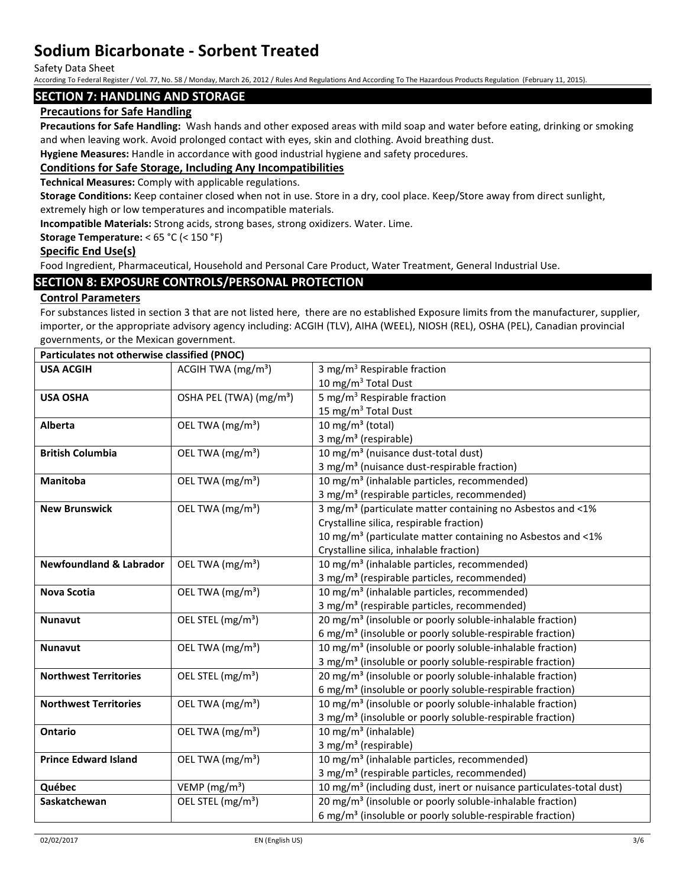Safety Data Sheet

According To Federal Register / Vol. 77, No. 58 / Monday, March 26, 2012 / Rules And Regulations And According To The Hazardous Products Regulation (February 11, 2015).

## **SECTION 7: HANDLING AND STORAGE**

# **Precautions for Safe Handling**

**Precautions for Safe Handling:** Wash hands and other exposed areas with mild soap and water before eating, drinking or smoking and when leaving work. Avoid prolonged contact with eyes, skin and clothing. Avoid breathing dust.

**Hygiene Measures:** Handle in accordance with good industrial hygiene and safety procedures.

## **Conditions for Safe Storage, Including Any Incompatibilities**

**Technical Measures:** Comply with applicable regulations.

**Storage Conditions:** Keep container closed when not in use. Store in a dry, cool place. Keep/Store away from direct sunlight, extremely high or low temperatures and incompatible materials.

**Incompatible Materials:** Strong acids, strong bases, strong oxidizers. Water. Lime.

### **Storage Temperature:** < 65 °C (< 150 °F)

### **Specific End Use(s)**

Food Ingredient, Pharmaceutical, Household and Personal Care Product, Water Treatment, General Industrial Use.

# **SECTION 8: EXPOSURE CONTROLS/PERSONAL PROTECTION**

## **Control Parameters**

For substances listed in section 3 that are not listed here, there are no established Exposure limits from the manufacturer, supplier, importer, or the appropriate advisory agency including: ACGIH (TLV), AIHA (WEEL), NIOSH (REL), OSHA (PEL), Canadian provincial governments, or the Mexican government.

| Particulates not otherwise classified (PNOC) |                                     |                                                                                  |
|----------------------------------------------|-------------------------------------|----------------------------------------------------------------------------------|
| <b>USA ACGIH</b>                             | ACGIH TWA $(mg/m3)$                 | 3 mg/m <sup>3</sup> Respirable fraction                                          |
|                                              |                                     | 10 mg/m <sup>3</sup> Total Dust                                                  |
| <b>USA OSHA</b>                              | OSHA PEL (TWA) (mg/m <sup>3</sup> ) | $\overline{5}$ mg/m <sup>3</sup> Respirable fraction                             |
|                                              |                                     | 15 mg/m <sup>3</sup> Total Dust                                                  |
| Alberta                                      | OEL TWA (mg/m <sup>3</sup> )        | 10 mg/m $3$ (total)                                                              |
|                                              |                                     | 3 mg/m <sup>3</sup> (respirable)                                                 |
| <b>British Columbia</b>                      | OEL TWA (mg/m <sup>3</sup> )        | 10 mg/m <sup>3</sup> (nuisance dust-total dust)                                  |
|                                              |                                     | 3 mg/m <sup>3</sup> (nuisance dust-respirable fraction)                          |
| Manitoba                                     | OEL TWA (mg/m <sup>3</sup> )        | 10 mg/m <sup>3</sup> (inhalable particles, recommended)                          |
|                                              |                                     | 3 mg/m <sup>3</sup> (respirable particles, recommended)                          |
| <b>New Brunswick</b>                         | OEL TWA (mg/m <sup>3</sup> )        | 3 mg/m <sup>3</sup> (particulate matter containing no Asbestos and <1%           |
|                                              |                                     | Crystalline silica, respirable fraction)                                         |
|                                              |                                     | 10 mg/m <sup>3</sup> (particulate matter containing no Asbestos and <1%          |
|                                              |                                     | Crystalline silica, inhalable fraction)                                          |
| <b>Newfoundland &amp; Labrador</b>           | OEL TWA (mg/m <sup>3</sup> )        | 10 mg/m <sup>3</sup> (inhalable particles, recommended)                          |
|                                              |                                     | 3 mg/m <sup>3</sup> (respirable particles, recommended)                          |
| <b>Nova Scotia</b>                           | OEL TWA (mg/m <sup>3</sup> )        | 10 mg/m <sup>3</sup> (inhalable particles, recommended)                          |
|                                              |                                     | 3 mg/m <sup>3</sup> (respirable particles, recommended)                          |
| <b>Nunavut</b>                               | OEL STEL (mg/m <sup>3</sup> )       | 20 mg/m <sup>3</sup> (insoluble or poorly soluble-inhalable fraction)            |
|                                              |                                     | 6 mg/m <sup>3</sup> (insoluble or poorly soluble-respirable fraction)            |
| <b>Nunavut</b>                               | OEL TWA (mg/m <sup>3</sup> )        | 10 mg/m <sup>3</sup> (insoluble or poorly soluble-inhalable fraction)            |
|                                              |                                     | 3 mg/m <sup>3</sup> (insoluble or poorly soluble-respirable fraction)            |
| <b>Northwest Territories</b>                 | OEL STEL (mg/m <sup>3</sup> )       | 20 mg/m <sup>3</sup> (insoluble or poorly soluble-inhalable fraction)            |
|                                              |                                     | 6 mg/m <sup>3</sup> (insoluble or poorly soluble-respirable fraction)            |
| <b>Northwest Territories</b>                 | OEL TWA (mg/m <sup>3</sup> )        | 10 mg/m <sup>3</sup> (insoluble or poorly soluble-inhalable fraction)            |
|                                              |                                     | 3 mg/m <sup>3</sup> (insoluble or poorly soluble-respirable fraction)            |
| <b>Ontario</b>                               | OEL TWA (mg/m <sup>3</sup> )        | 10 mg/m <sup>3</sup> (inhalable)                                                 |
|                                              |                                     | 3 mg/m <sup>3</sup> (respirable)                                                 |
| <b>Prince Edward Island</b>                  | OEL TWA (mg/m <sup>3</sup> )        | 10 mg/m <sup>3</sup> (inhalable particles, recommended)                          |
|                                              |                                     | 3 mg/m <sup>3</sup> (respirable particles, recommended)                          |
| Québec                                       | VEMP ( $mg/m3$ )                    | 10 mg/m <sup>3</sup> (including dust, inert or nuisance particulates-total dust) |
| Saskatchewan                                 | OEL STEL (mg/m <sup>3</sup> )       | 20 mg/m <sup>3</sup> (insoluble or poorly soluble-inhalable fraction)            |
|                                              |                                     | 6 mg/m <sup>3</sup> (insoluble or poorly soluble-respirable fraction)            |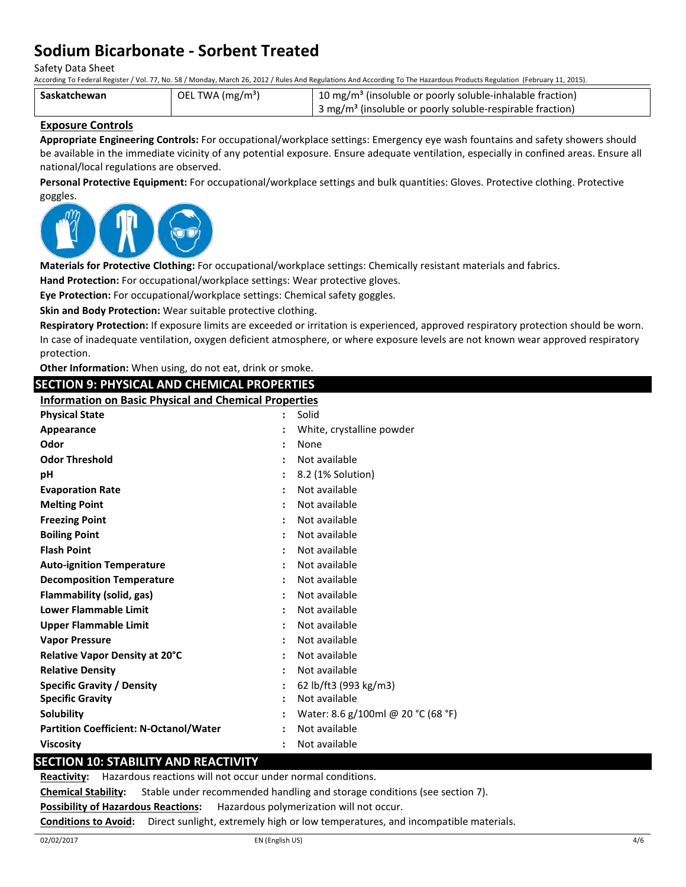Safety Data Sheet

According To Federal Register / Vol. 77, No. 58 / Monday, March 26, 2012 / Rules And Regulations And According To The Hazardous Products Regulation (February 11, 2015).

| Saskatchewan | OEL TWA (mg/m <sup>3</sup> ) | <sup>1</sup> 10 mg/m <sup>3</sup> (insoluble or poorly soluble-inhalable fraction) |
|--------------|------------------------------|------------------------------------------------------------------------------------|
|              |                              | 3 mg/m <sup>3</sup> (insoluble or poorly soluble-respirable fraction)              |

## **Exposure Controls**

**Appropriate Engineering Controls:** For occupational/workplace settings: Emergency eye wash fountains and safety showers should be available in the immediate vicinity of any potential exposure. Ensure adequate ventilation, especially in confined areas. Ensure all national/local regulations are observed.

**Personal Protective Equipment:** For occupational/workplace settings and bulk quantities: Gloves. Protective clothing. Protective goggles.



**Materials for Protective Clothing:** For occupational/workplace settings: Chemically resistant materials and fabrics.

**Hand Protection:** For occupational/workplace settings: Wear protective gloves.

**Eye Protection:** For occupational/workplace settings: Chemical safety goggles.

**Skin and Body Protection:** Wear suitable protective clothing.

**Respiratory Protection:** If exposure limits are exceeded or irritation is experienced, approved respiratory protection should be worn. In case of inadequate ventilation, oxygen deficient atmosphere, or where exposure levels are not known wear approved respiratory

| protection.                                                  |  |                                    |  |
|--------------------------------------------------------------|--|------------------------------------|--|
| Other Information: When using, do not eat, drink or smoke.   |  |                                    |  |
| <b>SECTION 9: PHYSICAL AND CHEMICAL PROPERTIES</b>           |  |                                    |  |
| <b>Information on Basic Physical and Chemical Properties</b> |  |                                    |  |
| <b>Physical State</b>                                        |  | Solid                              |  |
| Appearance                                                   |  | White, crystalline powder          |  |
| Odor                                                         |  | None                               |  |
| <b>Odor Threshold</b>                                        |  | Not available                      |  |
| рH                                                           |  | 8.2 (1% Solution)                  |  |
| <b>Evaporation Rate</b>                                      |  | Not available                      |  |
| <b>Melting Point</b>                                         |  | Not available                      |  |
| <b>Freezing Point</b>                                        |  | Not available                      |  |
| <b>Boiling Point</b>                                         |  | Not available                      |  |
| <b>Flash Point</b>                                           |  | Not available                      |  |
| <b>Auto-ignition Temperature</b>                             |  | Not available                      |  |
| <b>Decomposition Temperature</b>                             |  | Not available                      |  |
| Flammability (solid, gas)                                    |  | Not available                      |  |
| <b>Lower Flammable Limit</b>                                 |  | Not available                      |  |
| <b>Upper Flammable Limit</b>                                 |  | Not available                      |  |
| <b>Vapor Pressure</b>                                        |  | Not available                      |  |
| Relative Vapor Density at 20°C                               |  | Not available                      |  |
| <b>Relative Density</b>                                      |  | Not available                      |  |
| <b>Specific Gravity / Density</b>                            |  | 62 lb/ft3 (993 kg/m3)              |  |
| <b>Specific Gravity</b>                                      |  | Not available                      |  |
| Solubility                                                   |  | Water: 8.6 g/100ml @ 20 °C (68 °F) |  |
| <b>Partition Coefficient: N-Octanol/Water</b>                |  | Not available                      |  |
| <b>Viscosity</b>                                             |  | Not available                      |  |
| <b>SECTION 10: STABILITY AND REACTIVITY</b>                  |  |                                    |  |

**Reactivity:** Hazardous reactions will not occur under normal conditions.

**Chemical Stability:** Stable under recommended handling and storage conditions (see section 7).

**Possibility of Hazardous Reactions:** Hazardous polymerization will not occur.

**Conditions to Avoid:** Direct sunlight, extremely high or low temperatures, and incompatible materials.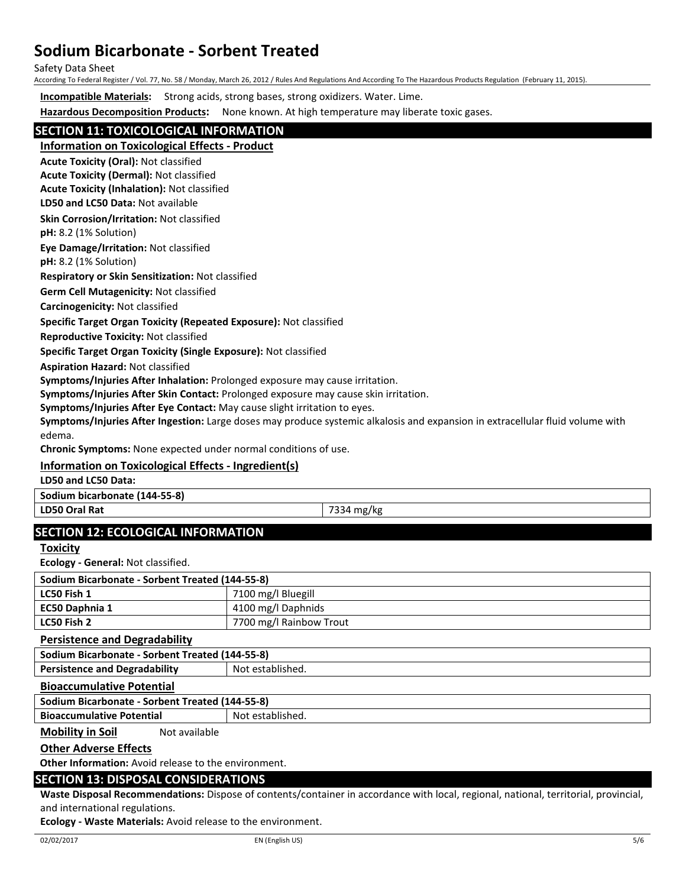Safety Data Sheet

According To Federal Register / Vol. 77, No. 58 / Monday, March 26, 2012 / Rules And Regulations And According To The Hazardous Products Regulation (February 11, 2015).

**Incompatible Materials:** Strong acids, strong bases, strong oxidizers. Water. Lime.

**Hazardous Decomposition Products:** None known. At high temperature may liberate toxic gases.

# **SECTION 11: TOXICOLOGICAL INFORMATION**

**Information on Toxicological Effects - Product**

**Acute Toxicity (Oral):** Not classified

**Acute Toxicity (Dermal):** Not classified **Acute Toxicity (Inhalation):** Not classified

**LD50 and LC50 Data:** Not available

**Skin Corrosion/Irritation:** Not classified

**pH:** 8.2 (1% Solution)

**Eye Damage/Irritation:** Not classified

**pH:** 8.2 (1% Solution)

**Respiratory or Skin Sensitization:** Not classified

**Germ Cell Mutagenicity:** Not classified

**Carcinogenicity:** Not classified

### **Specific Target Organ Toxicity (Repeated Exposure):** Not classified

**Reproductive Toxicity:** Not classified

**Specific Target Organ Toxicity (Single Exposure):** Not classified

**Aspiration Hazard:** Not classified

**Symptoms/Injuries After Inhalation:** Prolonged exposure may cause irritation.

**Symptoms/Injuries After Skin Contact:** Prolonged exposure may cause skin irritation.

**Symptoms/Injuries After Eye Contact:** May cause slight irritation to eyes.

**Symptoms/Injuries After Ingestion:** Large doses may produce systemic alkalosis and expansion in extracellular fluid volume with edema.

**Chronic Symptoms:** None expected under normal conditions of use.

# **Information on Toxicological Effects - Ingredient(s)**

**LD50 and LC50 Data:**

**Sodium bicarbonate (144-55-8)**

**LD50 Oral Rat** 7334 mg/kg

# **SECTION 12: ECOLOGICAL INFORMATION**

**Toxicity**

**Ecology - General:** Not classified.

| Sodium Bicarbonate - Sorbent Treated (144-55-8) |                         |  |  |  |
|-------------------------------------------------|-------------------------|--|--|--|
| LC50 Fish 1                                     | 7100 mg/l Bluegill      |  |  |  |
| <b>EC50 Daphnia 1</b>                           | 4100 mg/l Daphnids      |  |  |  |
| LC50 Fish 2                                     | 7700 mg/l Rainbow Trout |  |  |  |

**Persistence and Degradability**

**Sodium Bicarbonate - Sorbent Treated (144-55-8) Persistence and Degradability | Not established.** 

### **Bioaccumulative Potential**

**Sodium Bicarbonate - Sorbent Treated (144-55-8)**

**Bioaccumulative Potential Fig. 2016** Not established.

**Mobility in Soil** Not available

## **Other Adverse Effects**

**Other Information:** Avoid release to the environment.

## **SECTION 13: DISPOSAL CONSIDERATIONS**

**Waste Disposal Recommendations:** Dispose of contents/container in accordance with local, regional, national, territorial, provincial, and international regulations.

**Ecology - Waste Materials:** Avoid release to the environment.